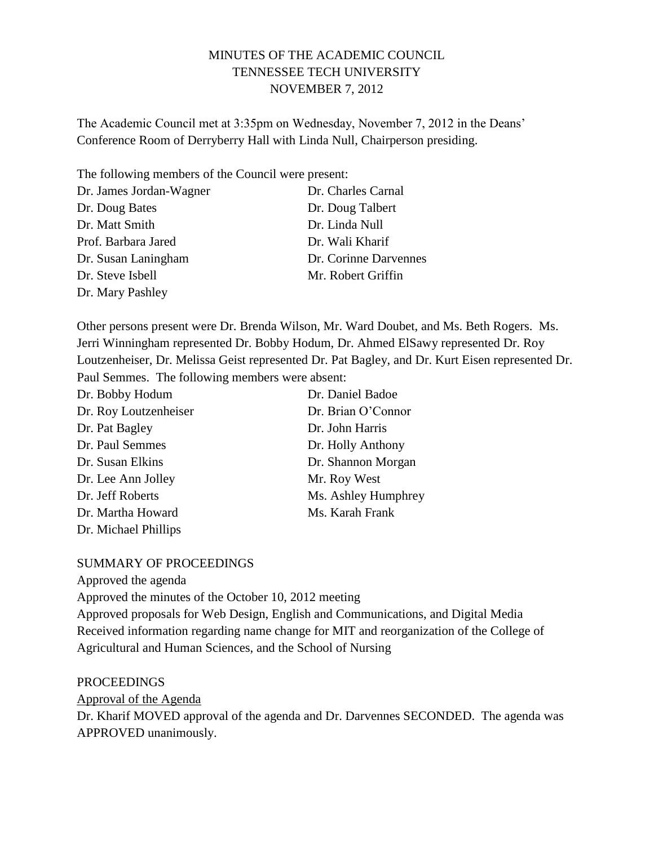# MINUTES OF THE ACADEMIC COUNCIL TENNESSEE TECH UNIVERSITY NOVEMBER 7, 2012

The Academic Council met at 3:35pm on Wednesday, November 7, 2012 in the Deans' Conference Room of Derryberry Hall with Linda Null, Chairperson presiding.

The following members of the Council were present:

| Dr. James Jordan-Wagner | Dr. Charles Carnal    |
|-------------------------|-----------------------|
| Dr. Doug Bates          | Dr. Doug Talbert      |
| Dr. Matt Smith          | Dr. Linda Null        |
| Prof. Barbara Jared     | Dr. Wali Kharif       |
| Dr. Susan Laningham     | Dr. Corinne Darvennes |
| Dr. Steve Isbell        | Mr. Robert Griffin    |
| Dr. Mary Pashley        |                       |

Other persons present were Dr. Brenda Wilson, Mr. Ward Doubet, and Ms. Beth Rogers. Ms. Jerri Winningham represented Dr. Bobby Hodum, Dr. Ahmed ElSawy represented Dr. Roy Loutzenheiser, Dr. Melissa Geist represented Dr. Pat Bagley, and Dr. Kurt Eisen represented Dr. Paul Semmes. The following members were absent:

| Dr. Bobby Hodum       | Dr. Daniel Badoe    |
|-----------------------|---------------------|
| Dr. Roy Loutzenheiser | Dr. Brian O'Connor  |
| Dr. Pat Bagley        | Dr. John Harris     |
| Dr. Paul Semmes       | Dr. Holly Anthony   |
| Dr. Susan Elkins      | Dr. Shannon Morgan  |
| Dr. Lee Ann Jolley    | Mr. Roy West        |
| Dr. Jeff Roberts      | Ms. Ashley Humphrey |
| Dr. Martha Howard     | Ms. Karah Frank     |
| Dr. Michael Phillips  |                     |

#### SUMMARY OF PROCEEDINGS

Approved the agenda

Approved the minutes of the October 10, 2012 meeting

Approved proposals for Web Design, English and Communications, and Digital Media Received information regarding name change for MIT and reorganization of the College of Agricultural and Human Sciences, and the School of Nursing

#### PROCEEDINGS

Approval of the Agenda

Dr. Kharif MOVED approval of the agenda and Dr. Darvennes SECONDED. The agenda was APPROVED unanimously.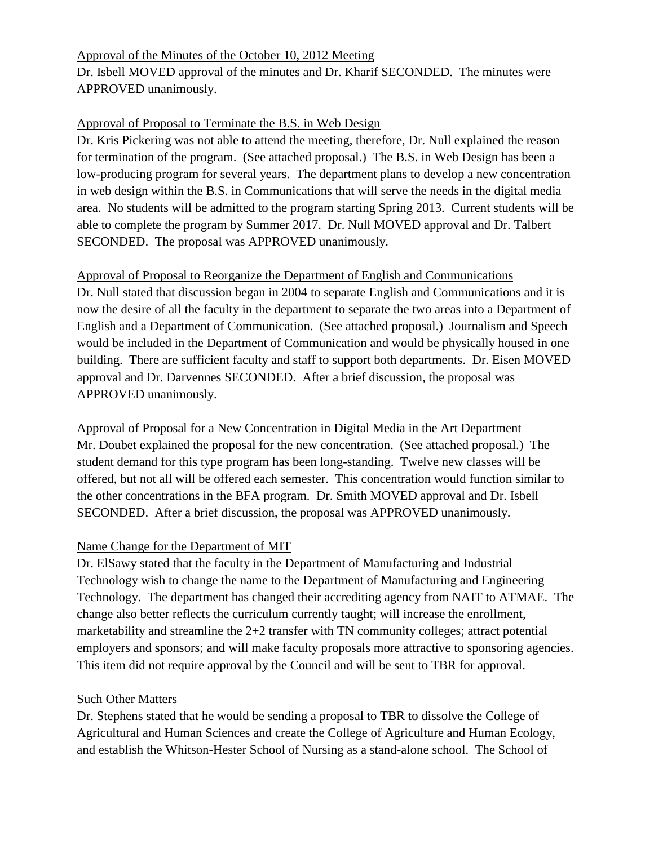### Approval of the Minutes of the October 10, 2012 Meeting

Dr. Isbell MOVED approval of the minutes and Dr. Kharif SECONDED. The minutes were APPROVED unanimously.

# Approval of Proposal to Terminate the B.S. in Web Design

Dr. Kris Pickering was not able to attend the meeting, therefore, Dr. Null explained the reason for termination of the program. (See attached proposal.) The B.S. in Web Design has been a low-producing program for several years. The department plans to develop a new concentration in web design within the B.S. in Communications that will serve the needs in the digital media area. No students will be admitted to the program starting Spring 2013. Current students will be able to complete the program by Summer 2017. Dr. Null MOVED approval and Dr. Talbert SECONDED. The proposal was APPROVED unanimously.

### Approval of Proposal to Reorganize the Department of English and Communications

Dr. Null stated that discussion began in 2004 to separate English and Communications and it is now the desire of all the faculty in the department to separate the two areas into a Department of English and a Department of Communication. (See attached proposal.) Journalism and Speech would be included in the Department of Communication and would be physically housed in one building. There are sufficient faculty and staff to support both departments. Dr. Eisen MOVED approval and Dr. Darvennes SECONDED. After a brief discussion, the proposal was APPROVED unanimously.

Approval of Proposal for a New Concentration in Digital Media in the Art Department Mr. Doubet explained the proposal for the new concentration. (See attached proposal.) The student demand for this type program has been long-standing. Twelve new classes will be offered, but not all will be offered each semester. This concentration would function similar to the other concentrations in the BFA program. Dr. Smith MOVED approval and Dr. Isbell SECONDED. After a brief discussion, the proposal was APPROVED unanimously.

# Name Change for the Department of MIT

Dr. ElSawy stated that the faculty in the Department of Manufacturing and Industrial Technology wish to change the name to the Department of Manufacturing and Engineering Technology. The department has changed their accrediting agency from NAIT to ATMAE. The change also better reflects the curriculum currently taught; will increase the enrollment, marketability and streamline the 2+2 transfer with TN community colleges; attract potential employers and sponsors; and will make faculty proposals more attractive to sponsoring agencies. This item did not require approval by the Council and will be sent to TBR for approval.

# Such Other Matters

Dr. Stephens stated that he would be sending a proposal to TBR to dissolve the College of Agricultural and Human Sciences and create the College of Agriculture and Human Ecology, and establish the Whitson-Hester School of Nursing as a stand-alone school. The School of